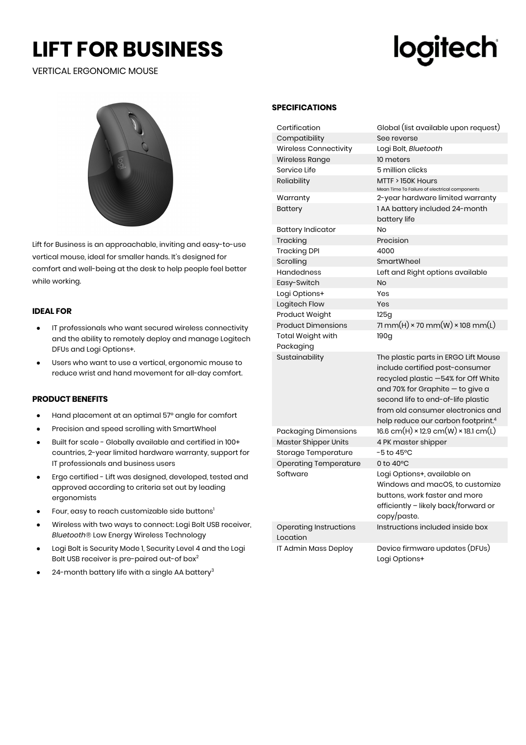## **LIFT FOR BUSINESS**

### VERTICAL ERGONOMIC MOUSE

# logitech



Lift for Business is an approachable, inviting and easy-to-use vertical mouse, ideal for smaller hands. It's designed for comfort and well-being at the desk to help people feel better while working.

#### **IDEAL FOR**

- IT professionals who want secured wireless connectivity and the ability to remotely deploy and manage Logitech DFUs and Logi Options+.
- Users who want to use a vertical, ergonomic mouse to reduce wrist and hand movement for all-day comfort.

#### **PRODUCT BENEFITS**

- Hand placement at an optimal 57° angle for comfort
- Precision and speed scrolling with SmartWheel
- Built for scale Globally available and certified in 100+ countries, 2-year limited hardware warranty, support for IT professionals and business users
- Ergo certified Lift was designed, developed, tested and approved according to criteria set out by leading ergonomists
- Four, easy to reach customizable side buttons<sup>1</sup>
- Wireless with two ways to connect: Logi Bolt USB receiver, *Bluetooth*® Low Energy Wireless Technology
- Logi Bolt is Security Mode 1, Security Level 4 and the Logi Bolt USB receiver is pre-paired out-of box<sup>2</sup>
- 24-month battery life with a single AA battery $3$

#### **SPECIFICATIONS**

| Certification                             | Global (list available upon request)                                                                                                                                                                                                                                            |  |
|-------------------------------------------|---------------------------------------------------------------------------------------------------------------------------------------------------------------------------------------------------------------------------------------------------------------------------------|--|
| Compatibility                             | See reverse                                                                                                                                                                                                                                                                     |  |
| <b>Wireless Connectivity</b>              | Logi Bolt, <i>Bluetooth</i>                                                                                                                                                                                                                                                     |  |
| Wireless Range                            | 10 meters                                                                                                                                                                                                                                                                       |  |
| Service Life                              | 5 million clicks                                                                                                                                                                                                                                                                |  |
| Reliability                               | MTTF > 150K Hours<br>Mean Time To Failure of electrical components                                                                                                                                                                                                              |  |
| Warranty                                  | 2-year hardware limited warranty                                                                                                                                                                                                                                                |  |
| <b>Battery</b>                            | 1 AA battery included 24-month<br>battery life                                                                                                                                                                                                                                  |  |
| <b>Battery Indicator</b>                  | No                                                                                                                                                                                                                                                                              |  |
| Tracking                                  | Precision                                                                                                                                                                                                                                                                       |  |
| <b>Tracking DPI</b>                       | 4000                                                                                                                                                                                                                                                                            |  |
| Scrolling                                 | SmartWheel                                                                                                                                                                                                                                                                      |  |
| <b>Handedness</b>                         | Left and Right options available                                                                                                                                                                                                                                                |  |
| Easy-Switch                               | No                                                                                                                                                                                                                                                                              |  |
| Logi Options+                             | Yes                                                                                                                                                                                                                                                                             |  |
| Logitech Flow                             | Yes                                                                                                                                                                                                                                                                             |  |
| Product Weight                            | 125g                                                                                                                                                                                                                                                                            |  |
| <b>Product Dimensions</b>                 | 71 mm(H) $\times$ 70 mm(W) $\times$ 108 mm(L)                                                                                                                                                                                                                                   |  |
| <b>Total Weight with</b>                  | 190g                                                                                                                                                                                                                                                                            |  |
| Packaging                                 |                                                                                                                                                                                                                                                                                 |  |
| Sustainability                            | The plastic parts in ERGO Lift Mouse<br>include certified post-consumer<br>recycled plastic -54% for Off White<br>and 70% for Graphite - to give a<br>second life to end-of-life plastic<br>from old consumer electronics and<br>help reduce our carbon footprint. <sup>4</sup> |  |
| Packaging Dimensions                      | $16.6$ cm(H) × 12.9 cm(W) × 18.1 cm(L)                                                                                                                                                                                                                                          |  |
| <b>Master Shipper Units</b>               | 4 PK master shipper                                                                                                                                                                                                                                                             |  |
| Storage Temperature                       | $-5$ to 45°C                                                                                                                                                                                                                                                                    |  |
| <b>Operating Temperature</b>              | 0 to $40^{\circ}$ C                                                                                                                                                                                                                                                             |  |
| Software                                  | Logi Options+, available on<br>Windows and macOS, to customize<br>buttons, work faster and more<br>efficiently - likely back/forward or<br>copy/paste.                                                                                                                          |  |
| <b>Operating Instructions</b><br>Location | Instructions included inside box                                                                                                                                                                                                                                                |  |
| IT Admin Mass Deploy                      | Device firmware updates (DFUs)<br>Logi Options+                                                                                                                                                                                                                                 |  |